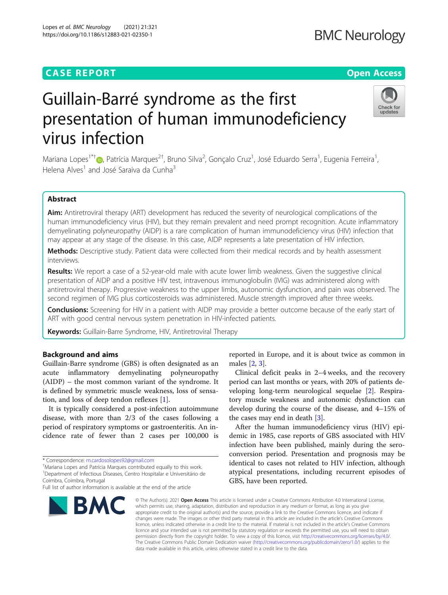# **CASE REPORT CASE ACCESS**

# Guillain-Barré syndrome as the first presentation of human immunodeficiency virus infection

Mariana Lopes<sup>1\*†</sup>®[,](http://orcid.org/0000-0002-4181-0830) Patrícia Marques<sup>2†</sup>, Bruno Silva<sup>2</sup>, Gonçalo Cruz<sup>1</sup>, José Eduardo Serra<sup>1</sup>, Eugenia Ferreira<sup>1</sup> , Helena Alves<sup>1</sup> and José Saraiva da Cunha<sup>3</sup>

# Abstract

Aim: Antiretroviral therapy (ART) development has reduced the severity of neurological complications of the human immunodeficiency virus (HIV), but they remain prevalent and need prompt recognition. Acute inflammatory demyelinating polyneuropathy (AIDP) is a rare complication of human immunodeficiency virus (HIV) infection that may appear at any stage of the disease. In this case, AIDP represents a late presentation of HIV infection.

Methods: Descriptive study. Patient data were collected from their medical records and by health assessment interviews.

Results: We report a case of a 52-year-old male with acute lower limb weakness. Given the suggestive clinical presentation of AIDP and a positive HIV test, intravenous immunoglobulin (IVIG) was administered along with antiretroviral therapy. Progressive weakness to the upper limbs, autonomic dysfunction, and pain was observed. The second regimen of IVIG plus corticosteroids was administered. Muscle strength improved after three weeks.

**Conclusions:** Screening for HIV in a patient with AIDP may provide a better outcome because of the early start of ART with good central nervous system penetration in HIV-infected patients.

Keywords: Guillain-Barre Syndrome, HIV, Antiretroviral Therapy

# Background and aims

Guillain-Barre syndrome (GBS) is often designated as an acute inflammatory demyelinating polyneuropathy (AIDP) – the most common variant of the syndrome. It is defined by symmetric muscle weakness, loss of sensation, and loss of deep tendon reflexes [[1\]](#page-3-0).

It is typically considered a post-infection autoimmune disease, with more than 2/3 of the cases following a period of respiratory symptoms or gastroenteritis. An incidence rate of fewer than 2 cases per 100,000 is

**BMC** 

Mariana Lopes and Patrícia Marques contributed equally to this work. <sup>1</sup>Department of Infectious Diseases, Centro Hospitalar e Universitário de reported in Europe, and it is about twice as common in males [\[2](#page-3-0), [3](#page-3-0)].

Clinical deficit peaks in 2–4 weeks, and the recovery period can last months or years, with 20% of patients developing long-term neurological sequelae [\[2](#page-3-0)]. Respiratory muscle weakness and autonomic dysfunction can develop during the course of the disease, and 4–15% of the cases may end in death [[3\]](#page-3-0).

After the human immunodeficiency virus (HIV) epidemic in 1985, case reports of GBS associated with HIV infection have been published, mainly during the seroconversion period. Presentation and prognosis may be identical to cases not related to HIV infection, although atypical presentations, including recurrent episodes of GBS, have been reported.

© The Author(s), 2021 **Open Access** This article is licensed under a Creative Commons Attribution 4.0 International License, which permits use, sharing, adaptation, distribution and reproduction in any medium or format, as long as you give appropriate credit to the original author(s) and the source, provide a link to the Creative Commons licence, and indicate if changes were made. The images or other third party material in this article are included in the article's Creative Commons licence, unless indicated otherwise in a credit line to the material. If material is not included in the article's Creative Commons licence and your intended use is not permitted by statutory regulation or exceeds the permitted use, you will need to obtain permission directly from the copyright holder. To view a copy of this licence, visit [http://creativecommons.org/licenses/by/4.0/.](http://creativecommons.org/licenses/by/4.0/) The Creative Commons Public Domain Dedication waiver [\(http://creativecommons.org/publicdomain/zero/1.0/](http://creativecommons.org/publicdomain/zero/1.0/)) applies to the data made available in this article, unless otherwise stated in a credit line to the data.







<sup>\*</sup> Correspondence: [m.cardosolopes92@gmail.com](mailto:m.cardosolopes92@gmail.com) †

Full list of author information is available at the end of the article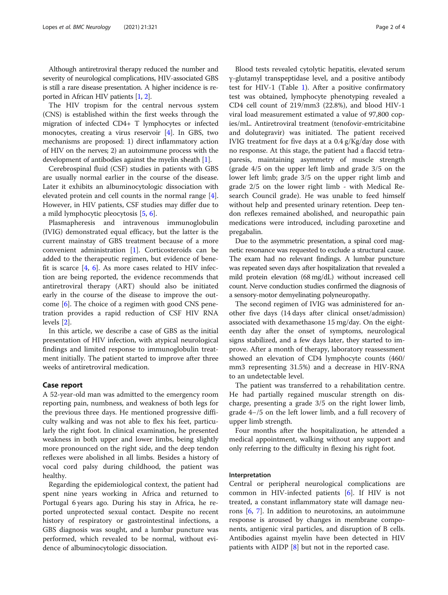Although antiretroviral therapy reduced the number and severity of neurological complications, HIV-associated GBS is still a rare disease presentation. A higher incidence is reported in African HIV patients [[1](#page-3-0), [2\]](#page-3-0).

The HIV tropism for the central nervous system (CNS) is established within the first weeks through the migration of infected CD4+ T lymphocytes or infected monocytes, creating a virus reservoir [[4](#page-3-0)]. In GBS, two mechanisms are proposed: 1) direct inflammatory action of HIV on the nerves; 2) an autoimmune process with the development of antibodies against the myelin sheath [[1\]](#page-3-0).

Cerebrospinal fluid (CSF) studies in patients with GBS are usually normal earlier in the course of the disease. Later it exhibits an albuminocytologic dissociation with elevated protein and cell counts in the normal range [\[4](#page-3-0)]. However, in HIV patients, CSF studies may differ due to a mild lymphocytic pleocytosis [[5,](#page-3-0) [6\]](#page-3-0).

Plasmapheresis and intravenous immunoglobulin (IVIG) demonstrated equal efficacy, but the latter is the current mainstay of GBS treatment because of a more convenient administration [\[1](#page-3-0)]. Corticosteroids can be added to the therapeutic regimen, but evidence of benefit is scarce  $[4, 6]$  $[4, 6]$  $[4, 6]$  $[4, 6]$ . As more cases related to HIV infection are being reported, the evidence recommends that antiretroviral therapy (ART) should also be initiated early in the course of the disease to improve the outcome [[6\]](#page-3-0). The choice of a regimen with good CNS penetration provides a rapid reduction of CSF HIV RNA levels [[2\]](#page-3-0).

In this article, we describe a case of GBS as the initial presentation of HIV infection, with atypical neurological findings and limited response to immunoglobulin treatment initially. The patient started to improve after three weeks of antiretroviral medication.

# Case report

A 52-year-old man was admitted to the emergency room reporting pain, numbness, and weakness of both legs for the previous three days. He mentioned progressive difficulty walking and was not able to flex his feet, particularly the right foot. In clinical examination, he presented weakness in both upper and lower limbs, being slightly more pronounced on the right side, and the deep tendon reflexes were abolished in all limbs. Besides a history of vocal cord palsy during childhood, the patient was healthy.

Regarding the epidemiological context, the patient had spent nine years working in Africa and returned to Portugal 6 years ago. During his stay in Africa, he reported unprotected sexual contact. Despite no recent history of respiratory or gastrointestinal infections, a GBS diagnosis was sought, and a lumbar puncture was performed, which revealed to be normal, without evidence of albuminocytologic dissociation.

Blood tests revealed cytolytic hepatitis, elevated serum γ-glutamyl transpeptidase level, and a positive antibody test for HIV-1 (Table [1\)](#page-2-0). After a positive confirmatory test was obtained, lymphocyte phenotyping revealed a CD4 cell count of 219/mm3 (22.8%), and blood HIV-1 viral load measurement estimated a value of 97,800 copies/mL. Antiretroviral treatment (tenofovir-emtricitabine and dolutegravir) was initiated. The patient received IVIG treatment for five days at a 0.4 g/Kg/day dose with no response. At this stage, the patient had a flaccid tetraparesis, maintaining asymmetry of muscle strength (grade 4/5 on the upper left limb and grade 3/5 on the lower left limb; grade 3/5 on the upper right limb and grade 2/5 on the lower right limb - with Medical Research Council grade). He was unable to feed himself without help and presented urinary retention. Deep tendon reflexes remained abolished, and neuropathic pain medications were introduced, including paroxetine and pregabalin.

Due to the asymmetric presentation, a spinal cord magnetic resonance was requested to exclude a structural cause. The exam had no relevant findings. A lumbar puncture was repeated seven days after hospitalization that revealed a mild protein elevation (68 mg/dL) without increased cell count. Nerve conduction studies confirmed the diagnosis of a sensory-motor demyelinating polyneuropathy.

The second regimen of IVIG was administered for another five days (14 days after clinical onset/admission) associated with dexamethasone 15 mg/day. On the eighteenth day after the onset of symptoms, neurological signs stabilized, and a few days later, they started to improve. After a month of therapy, laboratory reassessment showed an elevation of CD4 lymphocyte counts (460/ mm3 representing 31.5%) and a decrease in HIV-RNA to an undetectable level.

The patient was transferred to a rehabilitation centre. He had partially regained muscular strength on discharge, presenting a grade 3/5 on the right lower limb, grade 4−/5 on the left lower limb, and a full recovery of upper limb strength.

Four months after the hospitalization, he attended a medical appointment, walking without any support and only referring to the difficulty in flexing his right foot.

# Interpretation

Central or peripheral neurological complications are common in HIV-infected patients  $[6]$  $[6]$ . If HIV is not treated, a constant inflammatory state will damage neurons  $[6, 7]$  $[6, 7]$  $[6, 7]$  $[6, 7]$ . In addition to neurotoxins, an autoimmune response is aroused by changes in membrane components, antigenic viral particles, and disruption of B cells. Antibodies against myelin have been detected in HIV patients with AIDP [[8\]](#page-3-0) but not in the reported case.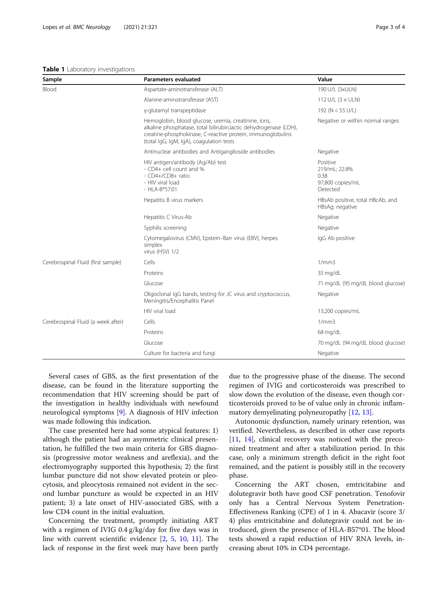### <span id="page-2-0"></span>Table 1 Laboratory investigations

| Sample                             | <b>Parameters evaluated</b>                                                                                                                                                                                                           | Value                                                             |
|------------------------------------|---------------------------------------------------------------------------------------------------------------------------------------------------------------------------------------------------------------------------------------|-------------------------------------------------------------------|
| Blood                              | Aspartate-aminotransferase (ALT)                                                                                                                                                                                                      | 190 U/L (3xULN)                                                   |
|                                    | Alanine-aminotransferase (AST)                                                                                                                                                                                                        | 112 U/L $(3 \times ULN)$                                          |
|                                    | y-glutamyl transpeptidase                                                                                                                                                                                                             | 192 (N < 55 U/L)                                                  |
|                                    | Hemoglobin, blood glucose, uremia, creatinine, ions,<br>alkaline phosphatase, total bilirubin, lactic dehydrogenase (LDH),<br>creatine-phosphokinase, C-reactive protein, immunoglobulins<br>(total IgG, IgM, IgA), coagulation tests | Negative or within normal ranges                                  |
|                                    | Antinuclear antibodies and Antiganglioside antibodies                                                                                                                                                                                 | Negative                                                          |
|                                    | HIV antigen/antibody (Ag/Ab) test<br>- CD4+ cell count and %<br>- CD4+/CD8+ ratio<br>- HIV viral load<br>$-HLA-B*57:01$                                                                                                               | Positive<br>219/mL; 22.8%<br>0.38<br>97,800 copies/mL<br>Detected |
|                                    | Hepatitis B virus markers                                                                                                                                                                                                             | HBsAb positive, total HBcAb, and<br>HBsAg: negative               |
|                                    | Hepatitis C Virus-Ab                                                                                                                                                                                                                  | Negative                                                          |
|                                    | Syphilis screening                                                                                                                                                                                                                    | Negative                                                          |
|                                    | Cytomegalovirus (CMV), Epstein-Barr virus (EBV), herpes<br>simplex<br>virus (HSV) 1/2                                                                                                                                                 | IgG Ab positive                                                   |
| Cerebrospinal Fluid (first sample) | Cells                                                                                                                                                                                                                                 | 1/mm3                                                             |
|                                    | Proteins                                                                                                                                                                                                                              | 35 mg/dL                                                          |
|                                    | Glucose                                                                                                                                                                                                                               | 71 mg/dL (95 mg/dL blood glucose)                                 |
|                                    | Oligoclonal IgG bands, testing for JC virus and cryptococcus,<br>Meningitis/Encephalitis Panel                                                                                                                                        | Negative                                                          |
|                                    | HIV viral load                                                                                                                                                                                                                        | 13,200 copies/mL                                                  |
| Cerebrospinal Fluid (a week after) | Cells                                                                                                                                                                                                                                 | 1/mm3                                                             |
|                                    | Proteins                                                                                                                                                                                                                              | $68 \,\mathrm{mq/dL}$                                             |
|                                    | Glucose                                                                                                                                                                                                                               | 70 mg/dL (94 mg/dL blood glucose)                                 |
|                                    | Culture for bacteria and fungi                                                                                                                                                                                                        | Negative                                                          |

Several cases of GBS, as the first presentation of the disease, can be found in the literature supporting the recommendation that HIV screening should be part of the investigation in healthy individuals with newfound neurological symptoms [\[9](#page-3-0)]. A diagnosis of HIV infection was made following this indication.

The case presented here had some atypical features: 1) although the patient had an asymmetric clinical presentation, he fulfilled the two main criteria for GBS diagnosis (progressive motor weakness and areflexia), and the electromyography supported this hypothesis; 2) the first lumbar puncture did not show elevated protein or pleocytosis, and pleocytosis remained not evident in the second lumbar puncture as would be expected in an HIV patient; 3) a late onset of HIV-associated GBS, with a low CD4 count in the initial evaluation.

Concerning the treatment, promptly initiating ART with a regimen of IVIG 0.4 g/kg/day for five days was in line with current scientific evidence [[2,](#page-3-0) [5](#page-3-0), [10](#page-3-0), [11\]](#page-3-0). The lack of response in the first week may have been partly

due to the progressive phase of the disease. The second regimen of IVIG and corticosteroids was prescribed to slow down the evolution of the disease, even though corticosteroids proved to be of value only in chronic inflammatory demyelinating polyneuropathy [[12,](#page-3-0) [13](#page-3-0)].

Autonomic dysfunction, namely urinary retention, was verified. Nevertheless, as described in other case reports [[11,](#page-3-0) [14](#page-3-0)], clinical recovery was noticed with the preconized treatment and after a stabilization period. In this case, only a minimum strength deficit in the right foot remained, and the patient is possibly still in the recovery phase.

Concerning the ART chosen, emtricitabine and dolutegravir both have good CSF penetration. Tenofovir only has a Central Nervous System Penetration-Effectiveness Ranking (CPE) of 1 in 4. Abacavir (score 3/ 4) plus emtricitabine and dolutegravir could not be introduced, given the presence of HLA-B57\*01. The blood tests showed a rapid reduction of HIV RNA levels, increasing about 10% in CD4 percentage.